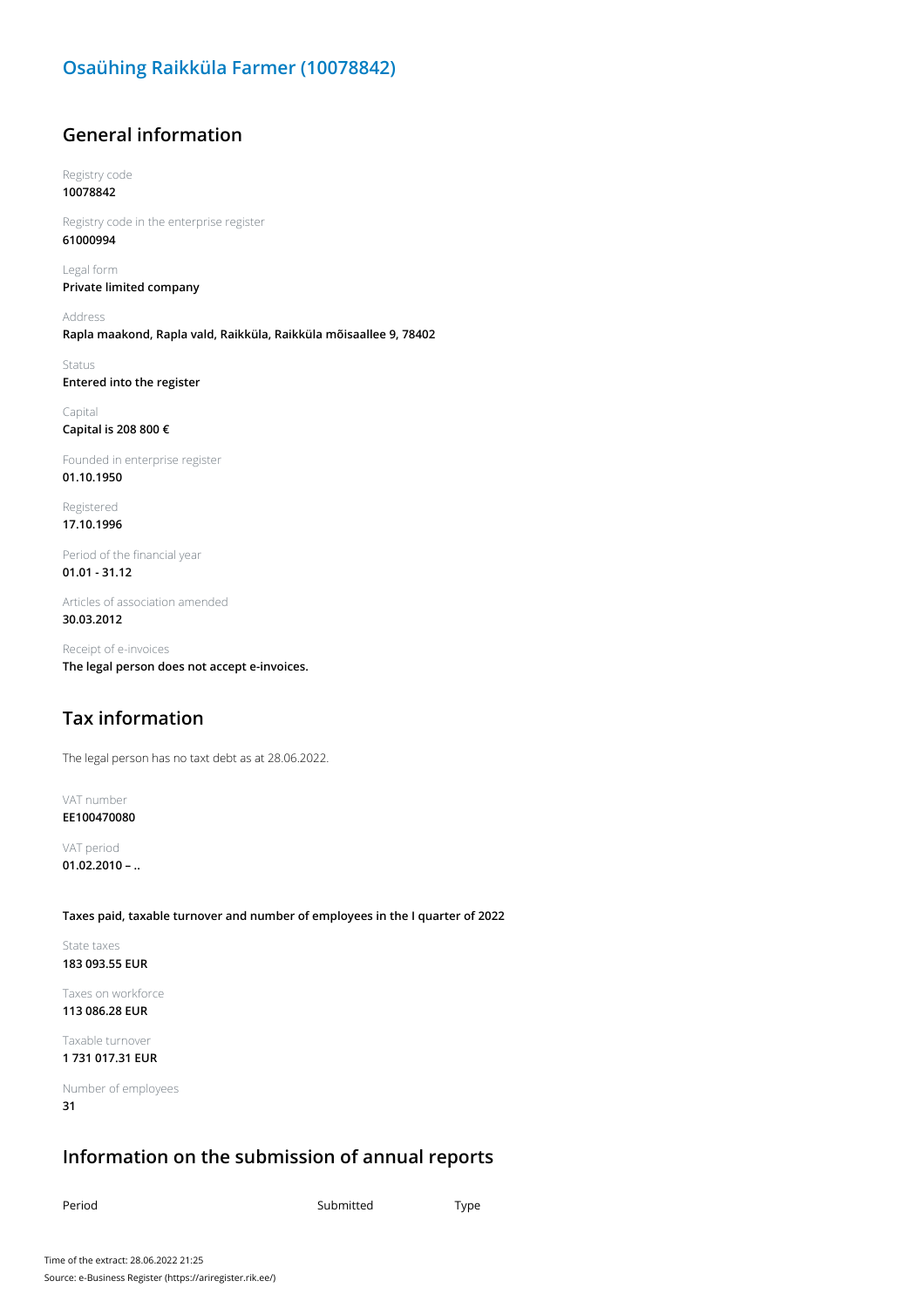#### **Osaühing Raikküla Farmer (10078842)**

#### **General information**

Registry code **10078842**

Registry code in the enterprise register **61000994**

Legal form **Private limited company**

Address **Rapla maakond, Rapla vald, Raikküla, Raikküla mõisaallee 9, 78402**

Status **Entered into the register**

Capital **Capital is 208 800 €**

Founded in enterprise register **01.10.1950**

Registered **17.10.1996**

Period of the financial year **01.01 - 31.12**

Articles of association amended **30.03.2012**

Receipt of e-invoices **The legal person does not accept e-invoices.**

### **Tax information**

The legal person has no taxt debt as at 28.06.2022.

VAT number **EE100470080**

VAT period **01.02.2010 – ..**

**Taxes paid, taxable turnover and number of employees in the I quarter of 2022**

State taxes **183 093.55 EUR**

Taxes on workforce **113 086.28 EUR**

Taxable turnover **1 731 017.31 EUR**

Number of employees **31**

#### **Information on the submission of annual reports**

Period **Submitted** Type